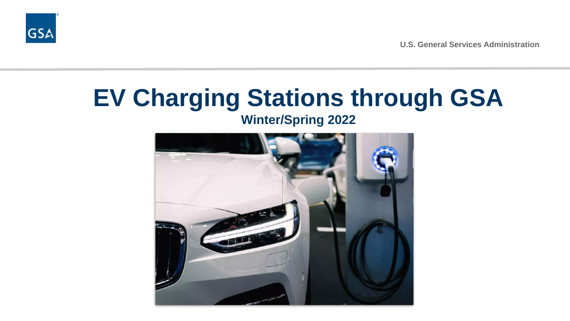

**U.S. General Services Administration**

# **EV Charging Stations through GSA**

**Winter/Spring 2022**

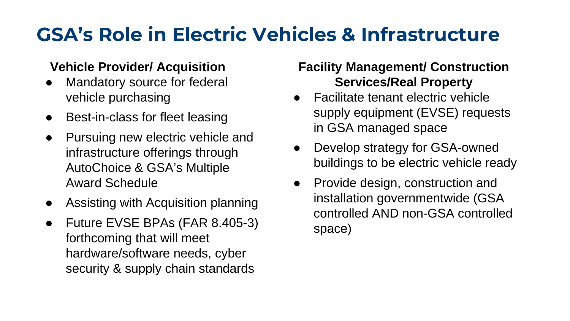# **GSA's Role in Electric Vehicles & Infrastructure**

#### **Vehicle Provider/ Acquisition**

- Mandatory source for federal vehicle purchasing
- Best-in-class for fleet leasing
- Pursuing new electric vehicle and infrastructure offerings through AutoChoice & GSA's Multiple Award Schedule
- Assisting with Acquisition planning
- Future EVSE BPAs (FAR 8.405-3) forthcoming that will meet hardware/software needs, cyber security & supply chain standards

### **Facility Management/ Construction Services/Real Property**

- Facilitate tenant electric vehicle supply equipment (EVSE) requests in GSA managed space
- Develop strategy for GSA-owned buildings to be electric vehicle ready
- Provide design, construction and installation governmentwide (GSA controlled AND non-GSA controlled space)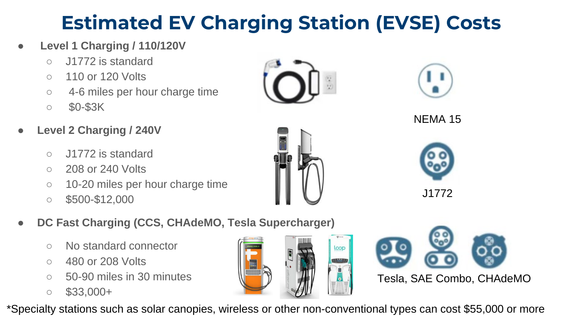# **Estimated EV Charging Station (EVSE) Costs**

#### ● **Level 1 Charging / 110/120V**

- J1772 is standard
- 110 or 120 Volts
- 4-6 miles per hour charge time
- \$0-\$3K
- **Level 2 Charging / 240V**
	- J1772 is standard
	- 208 or 240 Volts
	- 10-20 miles per hour charge time
	- \$500-\$12,000
- **DC Fast Charging (CCS, CHAdeMO, Tesla Supercharger)**
	- No standard connector
	- 480 or 208 Volts
	- $\circ$  50-90 miles in 30 minutes
	- $\circ$  \$33,000+

\*Specialty stations such as solar canopies, wireless or other non-conventional types can cost \$55,000 or more









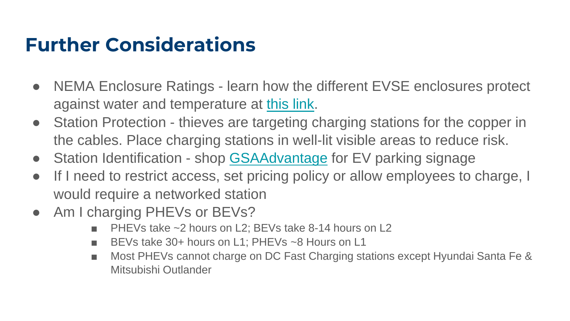### **Further Considerations**

- NEMA Enclosure Ratings learn how the different EVSE enclosures protect against water and temperature at [this link.](https://www.nemaenclosures.com/enclosure-ratings/nema-rated-enclosures.html)
- Station Protection thieves are targeting charging stations for the copper in the cables. Place charging stations in well-lit visible areas to reduce risk.
- Station Identification shop [GSAAdvantage](https://www.gsaadvantage.gov/advantage/ws/search/advantage_search?q=0:0electric%20vehicle%20signage&db=0&searchType=0) for EV parking signage
- If I need to restrict access, set pricing policy or allow employees to charge, I would require a networked station
- Am I charging PHEVs or BEVs?
	- PHEVs take ~2 hours on L2; BEVs take 8-14 hours on L2
	- BEVs take 30+ hours on L1; PHEVs ~8 Hours on L1
	- Most PHEVs cannot charge on DC Fast Charging stations except Hyundai Santa Fe & Mitsubishi Outlander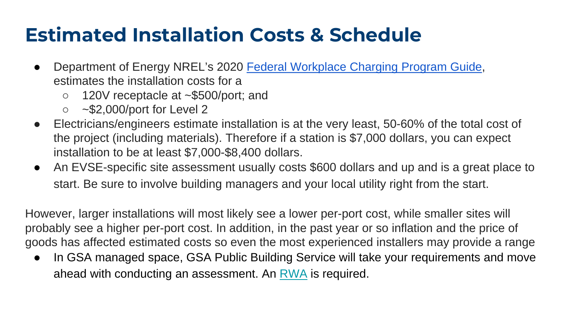### **Estimated Installation Costs & Schedule**

- Department of Energy NREL's 2020 [Federal Workplace Charging Program Guide,](https://www.nrel.gov/docs/fy21osti/77450.pdf) estimates the installation costs for a
	- 120V receptacle at ~\$500/port; and
	- $\circ$  ~\$2,000/port for Level 2
- Electricians/engineers estimate installation is at the very least, 50-60% of the total cost of the project (including materials). Therefore if a station is \$7,000 dollars, you can expect installation to be at least \$7,000-\$8,400 dollars.
- An EVSE-specific site assessment usually costs \$600 dollars and up and is a great place to start. Be sure to involve building managers and your local utility right from the start.

However, larger installations will most likely see a lower per-port cost, while smaller sites will probably see a higher per-port cost. In addition, in the past year or so inflation and the price of goods has affected estimated costs so even the most experienced installers may provide a range

• In GSA managed space, GSA Public Building Service will take your requirements and move ahead with conducting an assessment. An [RWA](https://www.gsa.gov/cdnstatic/PBS_Resources_Fact_Shee_%20New_RWA_Fee_Structur_%20FINAL_2-2020.pdf) is required.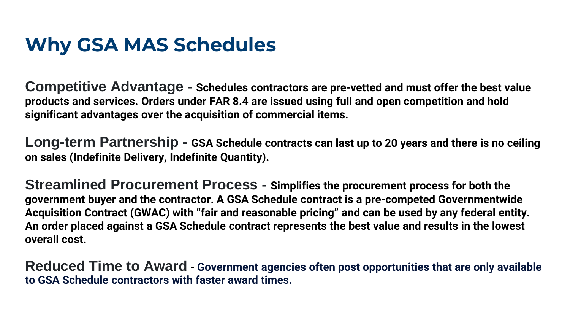### **Why GSA MAS Schedules**

**Competitive Advantage - Schedules contractors are pre-vetted and must offer the best value products and services. Orders under FAR 8.4 are issued using full and open competition and hold significant advantages over the acquisition of commercial items.**

**Long-term Partnership - GSA Schedule contracts can last up to 20 years and there is no ceiling on sales (Indefinite Delivery, Indefinite Quantity).**

**Streamlined Procurement Process - Simplifies the procurement process for both the government buyer and the contractor. A GSA Schedule contract is a pre-competed Governmentwide Acquisition Contract (GWAC) with "fair and reasonable pricing" and can be used by any federal entity. An order placed against a GSA Schedule contract represents the best value and results in the lowest overall cost.**

**Reduced Time to Award - Government agencies often post opportunities that are only available to GSA Schedule contractors with faster award times.**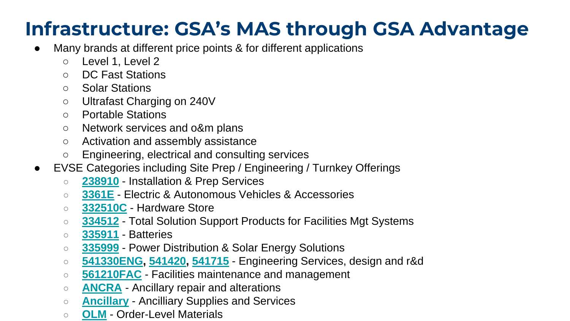### **Infrastructure: GSA's MAS through GSA Advantage**

- Many brands at different price points & for different applications
	- Level 1, Level 2
	- DC Fast Stations
	- Solar Stations
	- Ultrafast Charging on 240V
	- Portable Stations
	- Network services and o&m plans
	- Activation and assembly assistance
	- Engineering, electrical and consulting services
- EVSE Categories including Site Prep / Engineering / Turnkey Offerings
	- **[238910](https://www.gsaelibrary.gsa.gov/ElibMain/sinDetails.do?scheduleNumber=MAS&specialItemNumber=238910&executeQuery=YES&filter=NO)** Installation & Prep Services
	- **[3361E](https://www.gsaelibrary.gsa.gov/ElibMain/sinDetails.do?executeQuery=YES&scheduleNumber=MAS&flag=&filter=&specialItemNumber=3361E)** Electric & Autonomous Vehicles & Accessories
	- **[332510C](https://www.gsaelibrary.gsa.gov/ElibMain/sinDetails.do?scheduleNumber=MAS&specialItemNumber=332510C&executeQuery=YES)** Hardware Store
	- **[334512](https://www.gsaelibrary.gsa.gov/ElibMain/sinDetails.do?scheduleNumber=MAS&specialItemNumber=334512&executeQuery=YES)** Total Solution Support Products for Facilities Mgt Systems
	- **[335911](https://www.gsaelibrary.gsa.gov/ElibMain/sinDetails.do?scheduleNumber=MAS&specialItemNumber=335911&executeQuery=YES)** Batteries
	- **[335999](https://www.gsaelibrary.gsa.gov/ElibMain/sinDetails.do?scheduleNumber=MAS&specialItemNumber=335999&executeQuery=YES)** Power Distribution & Solar Energy Solutions
	- **[541330ENG,](https://www.gsaelibrary.gsa.gov/ElibMain/sinDetails.do?scheduleNumber=MAS&specialItemNumber=541330ENG&executeQuery=YES) [541420](https://www.gsaelibrary.gsa.gov/ElibMain/sinDetails.do?scheduleNumber=MAS&specialItemNumber=541420&executeQuery=YES), [541715](https://www.gsaelibrary.gsa.gov/ElibMain/sinDetails.do?scheduleNumber=MAS&specialItemNumber=541715&executeQuery=YES)** Engineering Services, design and r&d
	- **[561210FAC](https://www.gsaelibrary.gsa.gov/ElibMain/sinDetails.do?scheduleNumber=MAS&specialItemNumber=561210FAC&executeQuery=YES)** Facilities maintenance and management
	- **[ANCRA](https://www.gsaelibrary.gsa.gov/ElibMain/sinDetails.do?scheduleNumber=MAS&specialItemNumber=ANCRA&executeQuery=YES)** Ancillary repair and alterations
	- **[Ancillary](https://www.gsaelibrary.gsa.gov/ElibMain/sinDetails.do?scheduleNumber=MAS&specialItemNumber=ANCILLARY&executeQuery=YES)** Ancilliary Supplies and Services
	- **[OLM](https://www.gsaelibrary.gsa.gov/ElibMain/sinDetails.do?scheduleNumber=MAS&specialItemNumber=OLM&executeQuery=YES)** Order-Level Materials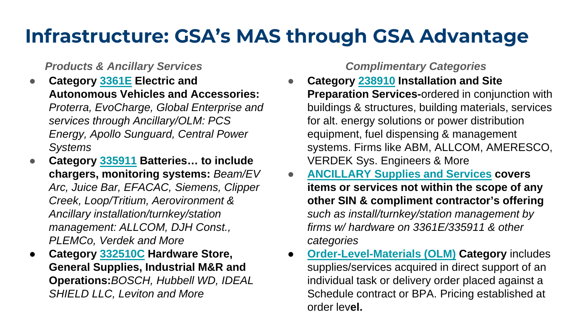### **Infrastructure: GSA's MAS through GSA Advantage**

#### *Products & Ancillary Services*

- **Category [3361E](https://www.gsaelibrary.gsa.gov/ElibMain/sinDetails.do?executeQuery=YES&scheduleNumber=MAS&flag=&filter=&specialItemNumber=3361E) Electric and Autonomous Vehicles and Accessories:**  *Proterra, EvoCharge, Global Enterprise and services through Ancillary/OLM: PCS Energy, Apollo Sunguard, Central Power Systems*
- **Category [335911](https://www.gsaelibrary.gsa.gov/ElibMain/sinDetails.do?scheduleNumber=MAS&specialItemNumber=335911&executeQuery=YES) Batteries… to include chargers, monitoring systems:** *Beam/EV Arc, Juice Bar, EFACAC, Siemens, Clipper Creek, Loop/Tritium, Aerovironment & Ancillary installation/turnkey/station management: ALLCOM, DJH Const., PLEMCo, Verdek and More*
- **Category [332510C](https://www.gsaelibrary.gsa.gov/ElibMain/sinDetails.do?scheduleNumber=MAS&specialItemNumber=332510C&executeQuery=YES) Hardware Store, General Supplies, Industrial M&R and Operations:***BOSCH, Hubbell WD, IDEAL SHIELD LLC, Leviton and More*

#### *Complimentary Categories*

- **Category [238910](https://www.gsaelibrary.gsa.gov/ElibMain/sinDetails.do?scheduleNumber=MAS&specialItemNumber=238910&executeQuery=YES&filter=NO) Installation and Site Preparation Services-**ordered in conjunction with buildings & structures, building materials, services for alt. energy solutions or power distribution equipment, fuel dispensing & management systems. Firms like ABM, ALLCOM, AMERESCO, VERDEK Sys. Engineers & More
- **[ANCILLARY Supplies and Services](https://www.gsaelibrary.gsa.gov/ElibMain/sinDetails.do?scheduleNumber=MAS&specialItemNumber=ANCILLARY&executeQuery=YES) covers items or services not within the scope of any other SIN & compliment contractor's offering**  *such as install/turnkey/station management by firms w/ hardware on 3361E/335911 & other categories*
- **[Order-Level-Materials \(OLM\)](https://www.gsaelibrary.gsa.gov/ElibMain/sinDetails.do?scheduleNumber=MAS&specialItemNumber=OLM&executeQuery=YES) Category includes** supplies/services acquired in direct support of an individual task or delivery order placed against a Schedule contract or BPA. Pricing established at order lev**el.**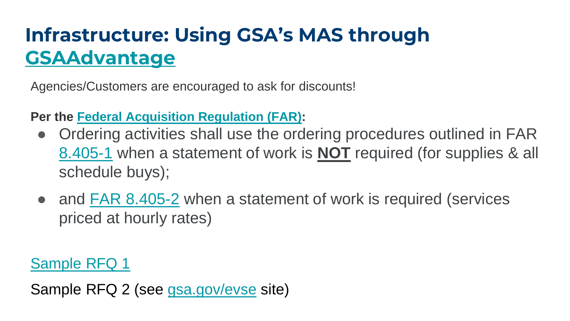# **Infrastructure: Using GSA's MAS through [GSAAdvantage](https://www.gsaadvantage.gov/advantage/ws/main/start_page?store=ADVANTAGE)**

Agencies/Customers are encouraged to ask for discounts!

#### **Per the [Federal Acquisition Regulation \(FAR\)](https://www.acquisition.gov/browse/index/far):**

- Ordering activities shall use the ordering procedures outlined in FAR [8.405-1](https://www.acquisition.gov/far/8.405-1) when a statement of work is **NOT** required (for supplies & all schedule buys);
- and [FAR 8.405-2](https://www.acquisition.gov/far/8.405-2) when a statement of work is required (services priced at hourly rates)

[Sample RFQ 1](https://hallways.cap.gsa.gov/system/files/doclib/furniture-rfq-furniture-buying-guide.pdf?file=1&type=node)

Sample RFQ 2 (see [gsa.gov/evse](http://gsa.gov/evse) site)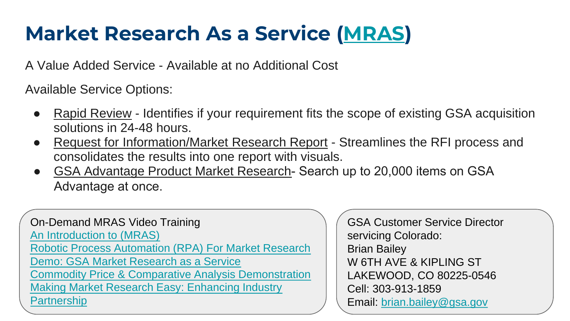# **Market Research As a Service ([MRAS](https://www.gsa.gov/about-us/organization/federal-acquisition-service/customer-and-stakeholder-engagement/market-research-as-a-service-mras))**

A Value Added Service - Available at no Additional Cost

Available Service Options:

- Rapid Review Identifies if your requirement fits the scope of existing GSA acquisition solutions in 24-48 hours.
- Request for Information/Market Research Report Streamlines the RFI process and consolidates the results into one report with visuals.
- GSA Advantage Product Market Research- Search up to 20,000 items on GSA Advantage at once.

On-Demand MRAS Video Training [An Introduction to \(MRAS\)](https://www.gsa.gov/about-us/organization/federal-acquisition-service/customer-and-stakeholder-engagement/market-research-as-a-service-mras#Intro2MRAS) [Robotic Process Automation \(RPA\) For Market Research](https://www.gsa.gov/about-us/organization/federal-acquisition-service/customer-and-stakeholder-engagement/market-research-as-a-service-mras#RPA) Demo: GSA Market Research [as a Service](https://www.gsa.gov/about-us/organization/federal-acquisition-service/customer-and-stakeholder-engagement/market-research-as-a-service-mras#Demo) Commodity Price & [Comparative Analysis Demonstration](https://www.gsa.gov/about-us/organization/federal-acquisition-service/customer-and-stakeholder-engagement/market-research-as-a-service-mras#AnalysisDemo) [Making Market Research Easy:](https://www.gsa.gov/about-us/organization/federal-acquisition-service/customer-and-stakeholder-engagement/market-research-as-a-service-mras#IndustryPartner) Enhancing Industry **Partnership** 

GSA Customer Service Director servicing Colorado: Brian Bailey W 6TH AVE & KIPLING ST LAKEWOOD, CO 80225-0546 Cell: 303-913-1859 Email: [brian.bailey@gsa.gov](mailto:brian.bailey@gsa.gov)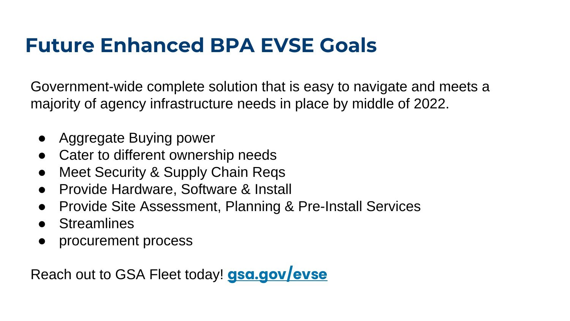# **Future Enhanced BPA EVSE Goals**

Government-wide complete solution that is easy to navigate and meets a majority of agency infrastructure needs in place by middle of 2022.

- Aggregate Buying power
- Cater to different ownership needs
- Meet Security & Supply Chain Reqs
- Provide Hardware, Software & Install
- Provide Site Assessment, Planning & Pre-Install Services
- Streamlines
- procurement process

Reach out to GSA Fleet today! **[gsa.gov/evse](http://gsa.gov/evse)**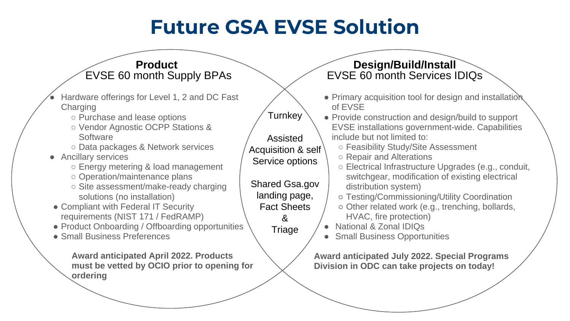# **Future GSA EVSE Solution**

| <b>Product</b><br><b>EVSE 60 month Supply BPAs</b>                                                                                                                                                    |                                                                                               | Design/Build/Install<br>EVSE 60 month Services IDIQs                                                                                                                                                      |
|-------------------------------------------------------------------------------------------------------------------------------------------------------------------------------------------------------|-----------------------------------------------------------------------------------------------|-----------------------------------------------------------------------------------------------------------------------------------------------------------------------------------------------------------|
| Hardware offerings for Level 1, 2 and DC Fast<br>Charging<br>○ Purchase and lease options<br>○ Vendor Agnostic OCPP Stations &                                                                        | Turnkey                                                                                       | • Primary acquisition tool for design and installation<br>of EVSE<br>• Provide construction and design/build to support<br>EVSE installations government-wide. Capabilities                               |
| Software<br>○ Data packages & Network services<br>• Ancillary services<br>○ Energy metering & load management<br>o Operation/maintenance plans                                                        | Assisted<br>Acquisition & self<br>Service options                                             | include but not limited to:<br>○ Feasibility Study/Site Assessment<br>○ Repair and Alterations<br>○ Electrical Infrastructure Upgrades (e.g., conduit,<br>switchgear, modification of existing electrical |
| ○ Site assessment/make-ready charging<br>solutions (no installation)<br>• Compliant with Federal IT Security<br>requirements (NIST 171 / FedRAMP)<br>• Product Onboarding / Offboarding opportunities | Shared Gsa.gov<br>landing page,<br><b>Fact Sheets</b><br>$\mathcal{R}_{\mathbf{z}}$<br>Triage | distribution system)<br>o Testing/Commissioning/Utility Coordination<br>o Other related work (e.g., trenching, bollards,<br>HVAC, fire protection)<br>National & Zonal IDIQs<br>$\bullet$                 |
| • Small Business Preferences<br><b>Award anticipated April 2022. Products</b><br>must be vetted by OCIO prior to opening for<br>ordering                                                              |                                                                                               | • Small Business Opportunities<br><b>Award anticipated July 2022. Special Programs</b><br>Division in ODC can take projects on today!                                                                     |